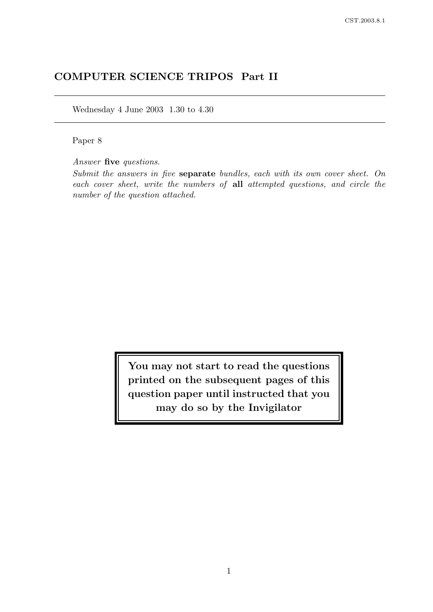# COMPUTER SCIENCE TRIPOS Part II

Wednesday 4 June 2003 1.30 to 4.30

Paper 8

Answer five questions.

Submit the answers in five separate bundles, each with its own cover sheet. On each cover sheet, write the numbers of all attempted questions, and circle the number of the question attached.

> You may not start to read the questions printed on the subsequent pages of this question paper until instructed that you may do so by the Invigilator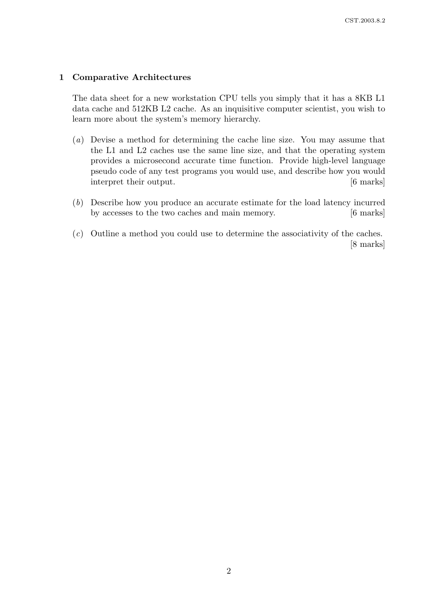# 1 Comparative Architectures

The data sheet for a new workstation CPU tells you simply that it has a 8KB L1 data cache and 512KB L2 cache. As an inquisitive computer scientist, you wish to learn more about the system's memory hierarchy.

- (a) Devise a method for determining the cache line size. You may assume that the L1 and L2 caches use the same line size, and that the operating system provides a microsecond accurate time function. Provide high-level language pseudo code of any test programs you would use, and describe how you would interpret their output. [6 marks]
- (b) Describe how you produce an accurate estimate for the load latency incurred by accesses to the two caches and main memory. [6 marks]
- (c) Outline a method you could use to determine the associativity of the caches. [8 marks]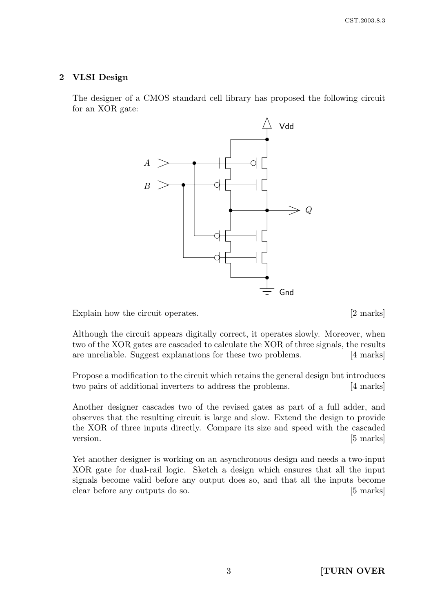# 2 VLSI Design

The designer of a CMOS standard cell library has proposed the following circuit for an XOR gate:



Explain how the circuit operates. [2 marks]

Although the circuit appears digitally correct, it operates slowly. Moreover, when two of the XOR gates are cascaded to calculate the XOR of three signals, the results are unreliable. Suggest explanations for these two problems. [4 marks]

Propose a modification to the circuit which retains the general design but introduces two pairs of additional inverters to address the problems. [4 marks]

Another designer cascades two of the revised gates as part of a full adder, and observes that the resulting circuit is large and slow. Extend the design to provide the XOR of three inputs directly. Compare its size and speed with the cascaded version. [5 marks]

Yet another designer is working on an asynchronous design and needs a two-input XOR gate for dual-rail logic. Sketch a design which ensures that all the input signals become valid before any output does so, and that all the inputs become clear before any outputs do so. [5 marks]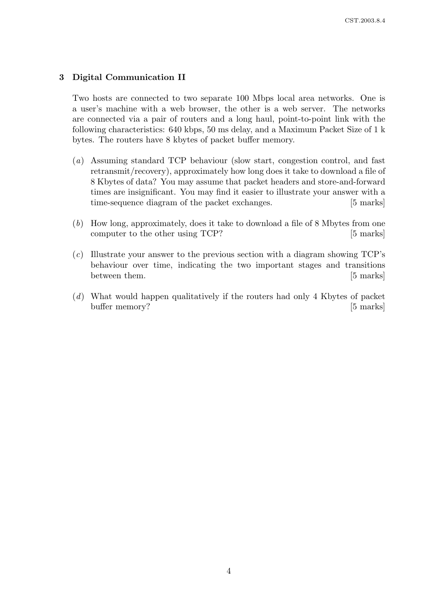# 3 Digital Communication II

Two hosts are connected to two separate 100 Mbps local area networks. One is a user's machine with a web browser, the other is a web server. The networks are connected via a pair of routers and a long haul, point-to-point link with the following characteristics: 640 kbps, 50 ms delay, and a Maximum Packet Size of 1 k bytes. The routers have 8 kbytes of packet buffer memory.

- (a) Assuming standard TCP behaviour (slow start, congestion control, and fast retransmit/recovery), approximately how long does it take to download a file of 8 Kbytes of data? You may assume that packet headers and store-and-forward times are insignificant. You may find it easier to illustrate your answer with a time-sequence diagram of the packet exchanges. [5 marks]
- (b) How long, approximately, does it take to download a file of 8 Mbytes from one computer to the other using TCP? [5 marks]
- (c) Illustrate your answer to the previous section with a diagram showing TCP's behaviour over time, indicating the two important stages and transitions between them. [5 marks]
- (d) What would happen qualitatively if the routers had only 4 Kbytes of packet buffer memory? [5 marks]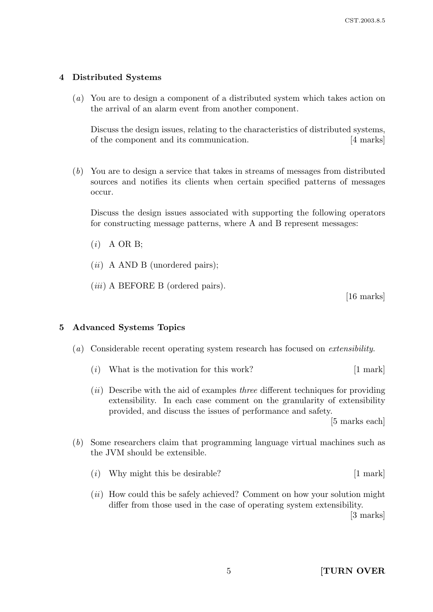# 4 Distributed Systems

(a) You are to design a component of a distributed system which takes action on the arrival of an alarm event from another component.

Discuss the design issues, relating to the characteristics of distributed systems, of the component and its communication. [4 marks]

(b) You are to design a service that takes in streams of messages from distributed sources and notifies its clients when certain specified patterns of messages occur.

Discuss the design issues associated with supporting the following operators for constructing message patterns, where A and B represent messages:

- $(i)$  A OR B:
- $(ii)$  A AND B (unordered pairs);
- (*iii*) A BEFORE B (ordered pairs).

[16 marks]

# 5 Advanced Systems Topics

- (a) Considerable recent operating system research has focused on extensibility.
	- (*i*) What is the motivation for this work?  $[1 \text{ mark}]$
	- $(ii)$  Describe with the aid of examples three different techniques for providing extensibility. In each case comment on the granularity of extensibility provided, and discuss the issues of performance and safety.

[5 marks each]

- (b) Some researchers claim that programming language virtual machines such as the JVM should be extensible.
	- (i) Why might this be desirable? [1 mark]
	- $(ii)$  How could this be safely achieved? Comment on how your solution might differ from those used in the case of operating system extensibility.

[3 marks]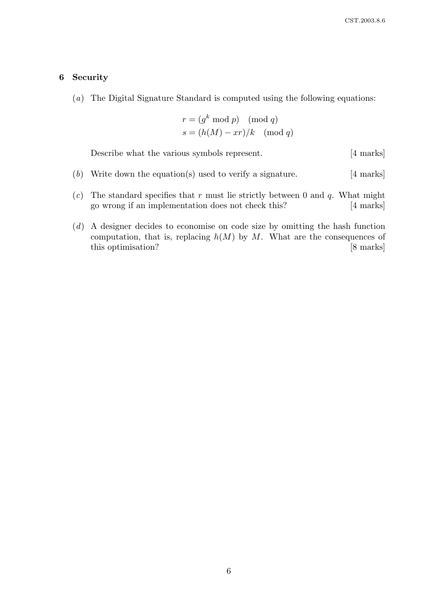#### 6 Security

(a) The Digital Signature Standard is computed using the following equations:

$$
r = (gk \mod p) \pmod{q}
$$

$$
s = (h(M) - xr)/k \pmod{q}
$$

Describe what the various symbols represent. [4 marks]

- (b) Write down the equation(s) used to verify a signature.  $[4 \text{ marks}]$
- $(c)$  The standard specifies that r must lie strictly between 0 and q. What might go wrong if an implementation does not check this? [4 marks]
- (d) A designer decides to economise on code size by omitting the hash function computation, that is, replacing  $h(M)$  by M. What are the consequences of this optimisation? [8 marks]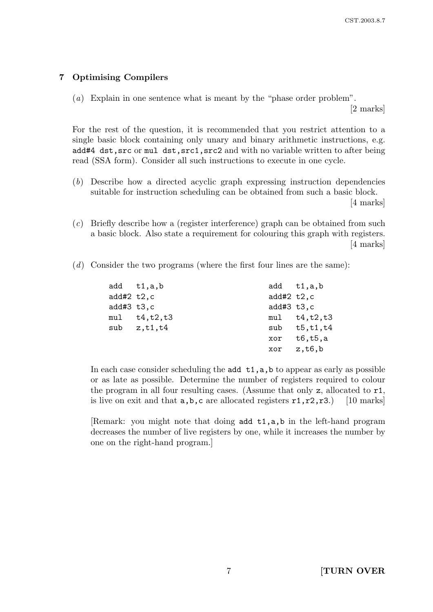# 7 Optimising Compilers

(a) Explain in one sentence what is meant by the "phase order problem".

[2 marks]

For the rest of the question, it is recommended that you restrict attention to a single basic block containing only unary and binary arithmetic instructions, e.g. add#4 dst,src or mul dst,src1,src2 and with no variable written to after being read (SSA form). Consider all such instructions to execute in one cycle.

- (b) Describe how a directed acyclic graph expressing instruction dependencies suitable for instruction scheduling can be obtained from such a basic block. [4 marks]
- (c) Briefly describe how a (register interference) graph can be obtained from such a basic block. Also state a requirement for colouring this graph with registers. [4 marks]
- (d) Consider the two programs (where the first four lines are the same):

|            | add t1,a,b      |              | add t1,a,b         |
|------------|-----------------|--------------|--------------------|
| add#2 t2,c |                 | add#2 $t2,c$ |                    |
| add#3 t3,c |                 | add#3 $t3,c$ |                    |
|            | mul t4,t2,t3    |              | $mul$ $t4, t2, t3$ |
|            | sub $z, t1, t4$ |              | sub $t5, t1, t4$   |
|            |                 |              | xor t6,t5,a        |
|            |                 |              | $xor \ z,t6,b$     |
|            |                 |              |                    |

In each case consider scheduling the  $add$   $t1, a, b$  to appear as early as possible or as late as possible. Determine the number of registers required to colour the program in all four resulting cases. (Assume that only z, allocated to r1, is live on exit and that  $a,b,c$  are allocated registers  $r1,r2,r3$ .) [10 marks]

Remark: you might note that doing add  $t1, a, b$  in the left-hand program decreases the number of live registers by one, while it increases the number by one on the right-hand program.]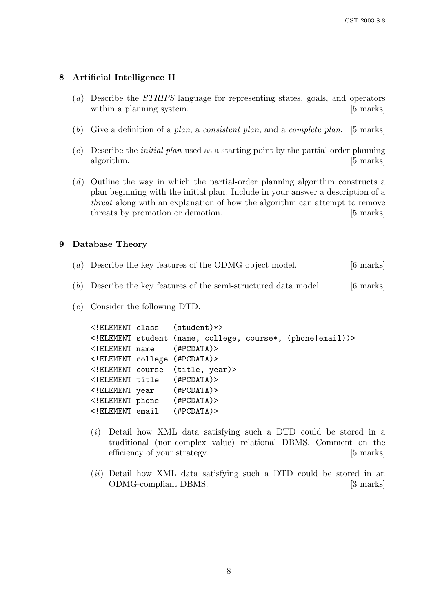#### 8 Artificial Intelligence II

- (a) Describe the STRIPS language for representing states, goals, and operators within a planning system. [5 marks]
- (b) Give a definition of a plan, a consistent plan, and a complete plan. [5 marks]
- $(c)$  Describe the *initial plan* used as a starting point by the partial-order planning algorithm. [5 marks]
- (d) Outline the way in which the partial-order planning algorithm constructs a plan beginning with the initial plan. Include in your answer a description of a threat along with an explanation of how the algorithm can attempt to remove threats by promotion or demotion. [5 marks]

#### 9 Database Theory

- (a) Describe the key features of the ODMG object model. [6 marks]
- (b) Describe the key features of the semi-structured data model.  $[6 \text{ marks}]$
- (c) Consider the following DTD.

|  | ELEMENT class (student) *                                 |  |
|--|-----------------------------------------------------------|--|
|  | ELEMENT student (name, college, course*, (phone   email)) |  |
|  | ELEMENT name (#PCDATA)                                    |  |
|  | ELEMENT college (#PCDATA)                                 |  |
|  | ELEMENT course (title, year)                              |  |
|  | ELEMENT title (#PCDATA)                                   |  |
|  | ELEMENT year (#PCDATA)                                    |  |
|  | ELEMENT phone (#PCDATA)                                   |  |
|  | ELEMENT email (#PCDATA)                                   |  |

- (i) Detail how XML data satisfying such a DTD could be stored in a traditional (non-complex value) relational DBMS. Comment on the efficiency of your strategy. [5 marks]
- $(ii)$  Detail how XML data satisfying such a DTD could be stored in an ODMG-compliant DBMS. [3 marks]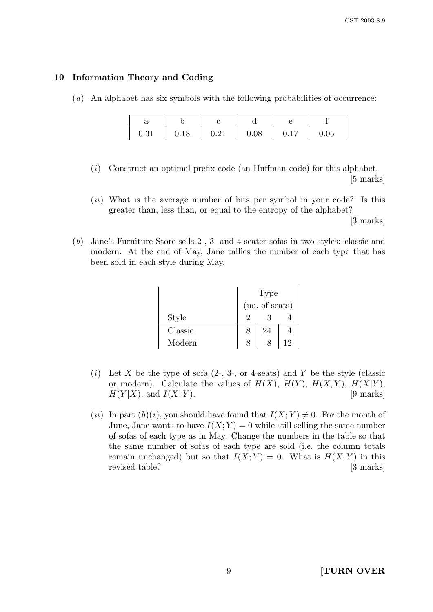# 10 Information Theory and Coding

(a) An alphabet has six symbols with the following probabilities of occurrence:

| u    |      |             |      |      |      |
|------|------|-------------|------|------|------|
| 0.31 | 0.18 | $\Omega$ 21 | 0.08 | 0.17 | 0.05 |

- (i) Construct an optimal prefix code (an Huffman code) for this alphabet. [5 marks]
- $(ii)$  What is the average number of bits per symbol in your code? Is this greater than, less than, or equal to the entropy of the alphabet?

[3 marks]

(b) Jane's Furniture Store sells 2-, 3- and 4-seater sofas in two styles: classic and modern. At the end of May, Jane tallies the number of each type that has been sold in each style during May.

|         | Type           |    |    |
|---------|----------------|----|----|
|         | (no. of seats) |    |    |
| Style   |                |    |    |
| Classic |                | 24 |    |
| Modern  |                |    | 12 |

- (i) Let X be the type of sofa  $(2, 3, \text{ or } 4\text{-seats})$  and Y be the style (classic or modern). Calculate the values of  $H(X)$ ,  $H(Y)$ ,  $H(X,Y)$ ,  $H(X|Y)$ ,  $H(Y|X)$ , and  $I(X;Y)$ . [9 marks]
- (ii) In part (b)(i), you should have found that  $I(X; Y) \neq 0$ . For the month of June, Jane wants to have  $I(X; Y) = 0$  while still selling the same number of sofas of each type as in May. Change the numbers in the table so that the same number of sofas of each type are sold (i.e. the column totals remain unchanged) but so that  $I(X; Y) = 0$ . What is  $H(X, Y)$  in this revised table? [3 marks]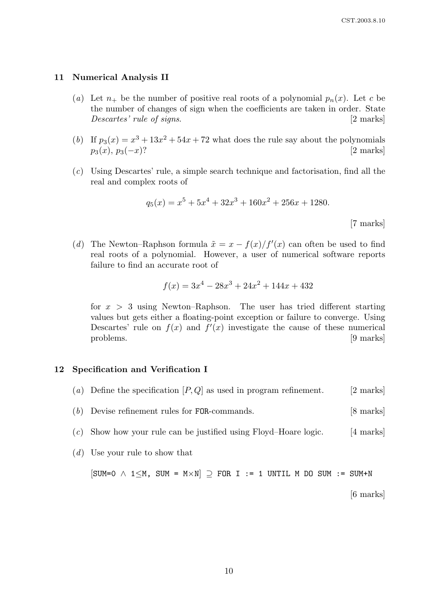#### 11 Numerical Analysis II

- (a) Let  $n_+$  be the number of positive real roots of a polynomial  $p_n(x)$ . Let c be the number of changes of sign when the coefficients are taken in order. State Descartes' rule of signs. [2 marks]
- (b) If  $p_3(x) = x^3 + 13x^2 + 54x + 72$  what does the rule say about the polynomials  $p_3(x), p_3(-x)$ ? [2 marks]
- (c) Using Descartes' rule, a simple search technique and factorisation, find all the real and complex roots of

$$
q_5(x) = x^5 + 5x^4 + 32x^3 + 160x^2 + 256x + 1280.
$$
\n[7 marks]

(d) The Newton–Raphson formula  $\tilde{x} = x - f(x)/f'(x)$  can often be used to find real roots of a polynomial. However, a user of numerical software reports failure to find an accurate root of

$$
f(x) = 3x^4 - 28x^3 + 24x^2 + 144x + 432
$$

for  $x > 3$  using Newton–Raphson. The user has tried different starting values but gets either a floating-point exception or failure to converge. Using Descartes' rule on  $f(x)$  and  $f'(x)$  investigate the cause of these numerical problems. [9 marks]

#### 12 Specification and Verification I

- (a) Define the specification  $[P,Q]$  as used in program refinement. [2 marks]
- (b) Devise refinement rules for FOR-commands. [8 marks]
- $(c)$  Show how your rule can be justified using Floyd–Hoare logic. [4 marks]
- (d) Use your rule to show that

 $[SUM=0 \land 1\leq M, SUM = M\times N]$   $\supset$  FOR I := 1 UNTIL M DO SUM := SUM+N

[6 marks]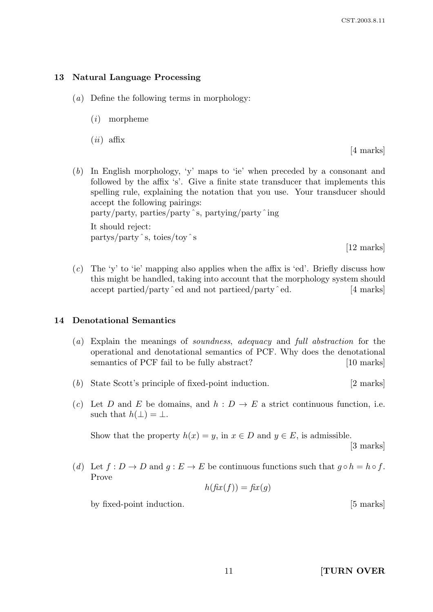# 13 Natural Language Processing

- (a) Define the following terms in morphology:
	- (i) morpheme
	- $(ii)$  affix

[4 marks]

- (b) In English morphology, 'y' maps to 'ie' when preceded by a consonant and followed by the affix 's'. Give a finite state transducer that implements this spelling rule, explaining the notation that you use. Your transducer should accept the following pairings: party/party, parties/partyˆs, partying/partyˆing It should reject: partys/partyˆs, toies/toyˆs [12 marks]
- $(c)$  The 'y' to 'ie' mapping also applies when the affix is 'ed'. Briefly discuss how this might be handled, taking into account that the morphology system should accept partied/party  $\hat{e}$  and not partieed/party  $\hat{e}$  ed. [4 marks]

# 14 Denotational Semantics

- (a) Explain the meanings of soundness, adequacy and full abstraction for the operational and denotational semantics of PCF. Why does the denotational semantics of PCF fail to be fully abstract? [10 marks]
- (b) State Scott's principle of fixed-point induction. [2 marks]
- (c) Let D and E be domains, and  $h : D \to E$  a strict continuous function, i.e. such that  $h(\perp) = \perp$ .

Show that the property  $h(x) = y$ , in  $x \in D$  and  $y \in E$ , is admissible. [3 marks]

(d) Let  $f: D \to D$  and  $q: E \to E$  be continuous functions such that  $q \circ h = h \circ f$ . Prove

$$
h(fix(f)) = fix(g)
$$

by fixed-point induction. [5 marks]